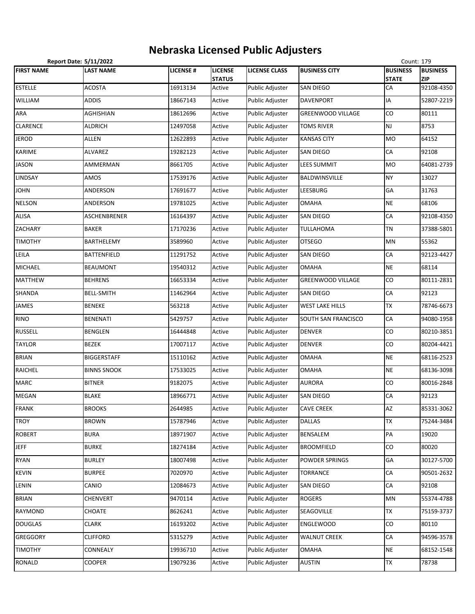## **Nebraska Licensed Public Adjusters**

| Count: 179<br><b>Report Date: 5/11/2022</b> |                    |                 |                                 |                        |                          |                                 |                               |  |
|---------------------------------------------|--------------------|-----------------|---------------------------------|------------------------|--------------------------|---------------------------------|-------------------------------|--|
| <b>FIRST NAME</b>                           | LAST NAME          | <b>LICENSE#</b> | <b>LICENSE</b><br><b>STATUS</b> | <b>LICENSE CLASS</b>   | <b>BUSINESS CITY</b>     | <b>BUSINESS</b><br><b>STATE</b> | <b>BUSINESS</b><br><b>ZIP</b> |  |
| <b>ESTELLE</b>                              | <b>ACOSTA</b>      | 16913134        | Active                          | Public Adjuster        | <b>SAN DIEGO</b>         | CA                              | 92108-4350                    |  |
| WILLIAM                                     | ADDIS              | 18667143        | Active                          | Public Adjuster        | <b>DAVENPORT</b>         | IA                              | 52807-2219                    |  |
| ARA                                         | AGHISHIAN          | 18612696        | Active                          | Public Adjuster        | <b>GREENWOOD VILLAGE</b> | CO                              | 80111                         |  |
| CLARENCE                                    | <b>ALDRICH</b>     | 12497058        | Active                          | Public Adjuster        | <b>TOMS RIVER</b>        | <b>NJ</b>                       | 8753                          |  |
| <b>JEROD</b>                                | ALLEN              | 12622893        | Active                          | <b>Public Adjuster</b> | <b>KANSAS CITY</b>       | <b>MO</b>                       | 64152                         |  |
| KARIME                                      | ALVAREZ            | 19282123        | Active                          | Public Adjuster        | <b>SAN DIEGO</b>         | ${\sf CA}$                      | 92108                         |  |
| <b>JASON</b>                                | AMMERMAN           | 8661705         | Active                          | Public Adjuster        | <b>LEES SUMMIT</b>       | <b>MO</b>                       | 64081-2739                    |  |
| LINDSAY                                     | AMOS               | 17539176        | Active                          | Public Adjuster        | BALDWINSVILLE            | <b>NY</b>                       | 13027                         |  |
| <b>JOHN</b>                                 | ANDERSON           | 17691677        | Active                          | Public Adjuster        | LEESBURG                 | GA                              | 31763                         |  |
| NELSON                                      | ANDERSON           | 19781025        | Active                          | Public Adjuster        | <b>OMAHA</b>             | <b>NE</b>                       | 68106                         |  |
| <b>ALISA</b>                                | ASCHENBRENER       | 16164397        | Active                          | Public Adjuster        | SAN DIEGO                | CA                              | 92108-4350                    |  |
| ZACHARY                                     | <b>BAKER</b>       | 17170236        | Active                          | Public Adjuster        | <b>TULLAHOMA</b>         | <b>TN</b>                       | 37388-5801                    |  |
| <b>TIMOTHY</b>                              | BARTHELEMY         | 3589960         | Active                          | Public Adjuster        | <b>OTSEGO</b>            | <b>MN</b>                       | 55362                         |  |
| LEILA                                       | <b>BATTENFIELD</b> | 11291752        | Active                          | Public Adjuster        | SAN DIEGO                | CA                              | 92123-4427                    |  |
| MICHAEL                                     | <b>BEAUMONT</b>    | 19540312        | Active                          | Public Adjuster        | <b>OMAHA</b>             | <b>NE</b>                       | 68114                         |  |
| MATTHEW                                     | <b>BEHRENS</b>     | 16653334        | Active                          | Public Adjuster        | <b>GREENWOOD VILLAGE</b> | CO                              | 80111-2831                    |  |
| SHANDA                                      | <b>BELL-SMITH</b>  | 11462964        | Active                          | Public Adjuster        | SAN DIEGO                | CA                              | 92123                         |  |
| JAMES                                       | <b>BENEKE</b>      | 563218          | Active                          | Public Adjuster        | <b>WEST LAKE HILLS</b>   | <b>TX</b>                       | 78746-6673                    |  |
| RINO                                        | BENENATI           | 5429757         | Active                          | Public Adjuster        | SOUTH SAN FRANCISCO      | CA                              | 94080-1958                    |  |
| RUSSELL                                     | <b>BENGLEN</b>     | 16444848        | Active                          | Public Adjuster        | <b>DENVER</b>            | CO                              | 80210-3851                    |  |
| TAYLOR                                      | <b>BEZEK</b>       | 17007117        | Active                          | Public Adjuster        | <b>DENVER</b>            | CO                              | 80204-4421                    |  |
| BRIAN                                       | <b>BIGGERSTAFF</b> | 15110162        | Active                          | Public Adjuster        | <b>OMAHA</b>             | <b>NE</b>                       | 68116-2523                    |  |
| RAICHEL                                     | <b>BINNS SNOOK</b> | 17533025        | Active                          | Public Adjuster        | <b>OMAHA</b>             | <b>NE</b>                       | 68136-3098                    |  |
| <b>MARC</b>                                 | <b>BITNER</b>      | 9182075         | Active                          | Public Adjuster        | <b>AURORA</b>            | CO                              | 80016-2848                    |  |
| MEGAN                                       | <b>BLAKE</b>       | 18966771        | Active                          | Public Adjuster        | SAN DIEGO                | CA                              | 92123                         |  |
| <b>FRANK</b>                                | <b>BROOKS</b>      | 2644985         | Active                          | Public Adjuster        | <b>CAVE CREEK</b>        | AZ                              | 85331-3062                    |  |
| TROY                                        | <b>BROWN</b>       | 15787946        | Active                          | Public Adjuster        | <b>DALLAS</b>            | <b>TX</b>                       | 75244-3484                    |  |
| <b>ROBERT</b>                               | <b>BURA</b>        | 18971907        | Active                          | Public Adjuster        | <b>BENSALEM</b>          | PA                              | 19020                         |  |
| <b>JEFF</b>                                 | <b>BURKE</b>       | 18274184        | Active                          | Public Adjuster        | <b>BROOMFIELD</b>        | CO                              | 80020                         |  |
| RYAN                                        | <b>BURLEY</b>      | 18007498        | Active                          | Public Adjuster        | POWDER SPRINGS           | GA                              | 30127-5700                    |  |
| KEVIN                                       | <b>BURPEE</b>      | 7020970         | Active                          | Public Adjuster        | TORRANCE                 | ${\sf CA}$                      | 90501-2632                    |  |
| LENIN                                       | CANIO              | 12084673        | Active                          | Public Adjuster        | SAN DIEGO                | ${\sf CA}$                      | 92108                         |  |
| <b>BRIAN</b>                                | CHENVERT           | 9470114         | Active                          | Public Adjuster        | <b>ROGERS</b>            | <b>MN</b>                       | 55374-4788                    |  |
| RAYMOND                                     | CHOATE             | 8626241         | Active                          | Public Adjuster        | SEAGOVILLE               | TX                              | 75159-3737                    |  |
| <b>DOUGLAS</b>                              | <b>CLARK</b>       | 16193202        | Active                          | Public Adjuster        | <b>ENGLEWOOD</b>         | CO                              | 80110                         |  |
| GREGGORY                                    | <b>CLIFFORD</b>    | 5315279         | Active                          | Public Adjuster        | <b>WALNUT CREEK</b>      | CA                              | 94596-3578                    |  |
| TIMOTHY                                     | CONNEALY           | 19936710        | Active                          | Public Adjuster        | <b>OMAHA</b>             | <b>NE</b>                       | 68152-1548                    |  |
| RONALD                                      | <b>COOPER</b>      | 19079236        | Active                          | Public Adjuster        | <b>AUSTIN</b>            | <b>TX</b>                       | 78738                         |  |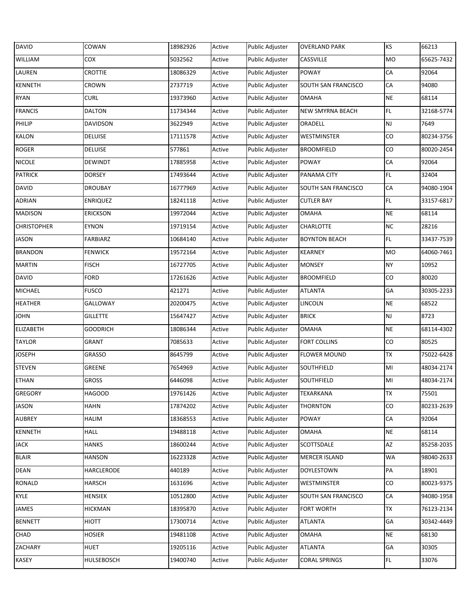| <b>DAVID</b>       | COWAN           | 18982926 | Active | Public Adjuster | <b>OVERLAND PARK</b> | KS             | 66213      |
|--------------------|-----------------|----------|--------|-----------------|----------------------|----------------|------------|
| WILLIAM            | COX             | 5032562  | Active | Public Adjuster | CASSVILLE            | MO             | 65625-7432 |
| LAUREN             | <b>CROTTIE</b>  | 18086329 | Active | Public Adjuster | <b>POWAY</b>         | ${\sf CA}$     | 92064      |
| <b>KENNETH</b>     | CROWN           | 2737719  | Active | Public Adjuster | SOUTH SAN FRANCISCO  | ${\sf CA}$     | 94080      |
| <b>RYAN</b>        | <b>CURL</b>     | 19373960 | Active | Public Adjuster | OMAHA                | <b>NE</b>      | 68114      |
| <b>FRANCIS</b>     | <b>DALTON</b>   | 11734344 | Active | Public Adjuster | NEW SMYRNA BEACH     | FL             | 32168-5774 |
| PHILIP             | <b>DAVIDSON</b> | 3622949  | Active | Public Adjuster | ORADELL              | NJ             | 7649       |
| <b>KALON</b>       | <b>DELUISE</b>  | 17111578 | Active | Public Adjuster | WESTMINSTER          | ${\rm CO}$     | 80234-3756 |
| <b>ROGER</b>       | <b>DELUISE</b>  | 577861   | Active | Public Adjuster | <b>BROOMFIELD</b>    | CO             | 80020-2454 |
| <b>NICOLE</b>      | <b>DEWINDT</b>  | 17885958 | Active | Public Adjuster | <b>POWAY</b>         | ${\sf CA}$     | 92064      |
| <b>PATRICK</b>     | <b>DORSEY</b>   | 17493644 | Active | Public Adjuster | PANAMA CITY          | FL.            | 32404      |
| <b>DAVID</b>       | <b>DROUBAY</b>  | 16777969 | Active | Public Adjuster | SOUTH SAN FRANCISCO  | ${\sf CA}$     | 94080-1904 |
| <b>ADRIAN</b>      | <b>ENRIQUEZ</b> | 18241118 | Active | Public Adjuster | <b>CUTLER BAY</b>    | FL             | 33157-6817 |
| <b>MADISON</b>     | <b>ERICKSON</b> | 19972044 | Active | Public Adjuster | <b>OMAHA</b>         | <b>NE</b>      | 68114      |
| <b>CHRISTOPHER</b> | <b>EYNON</b>    | 19719154 | Active | Public Adjuster | <b>CHARLOTTE</b>     | NC             | 28216      |
| <b>JASON</b>       | FARBIARZ        | 10684140 | Active | Public Adjuster | <b>BOYNTON BEACH</b> | FL.            | 33437-7539 |
| <b>BRANDON</b>     | <b>FENWICK</b>  | 19572164 | Active | Public Adjuster | <b>KEARNEY</b>       | <b>MO</b>      | 64060-7461 |
| <b>MARTIN</b>      | <b>FISCH</b>    | 16727705 | Active | Public Adjuster | <b>MONSEY</b>        | <b>NY</b>      | 10952      |
| <b>DAVID</b>       | <b>FORD</b>     | 17261626 | Active | Public Adjuster | <b>BROOMFIELD</b>    | ${\rm CO}$     | 80020      |
| <b>MICHAEL</b>     | <b>FUSCO</b>    | 421271   | Active | Public Adjuster | <b>ATLANTA</b>       | GA             | 30305-2233 |
| <b>HEATHER</b>     | GALLOWAY        | 20200475 | Active | Public Adjuster | <b>LINCOLN</b>       | <b>NE</b>      | 68522      |
| <b>JOHN</b>        | <b>GILLETTE</b> | 15647427 | Active | Public Adjuster | <b>BRICK</b>         | NJ             | 8723       |
| <b>ELIZABETH</b>   | <b>GOODRICH</b> | 18086344 | Active | Public Adjuster | <b>OMAHA</b>         | <b>NE</b>      | 68114-4302 |
| <b>TAYLOR</b>      | <b>GRANT</b>    | 7085633  | Active | Public Adjuster | <b>FORT COLLINS</b>  | ${\rm CO}$     | 80525      |
| <b>JOSEPH</b>      | GRASSO          | 8645799  | Active | Public Adjuster | <b>FLOWER MOUND</b>  | TX             | 75022-6428 |
| <b>STEVEN</b>      | GREENE          | 7654969  | Active | Public Adjuster | SOUTHFIELD           | MI             | 48034-2174 |
| <b>ETHAN</b>       | <b>GROSS</b>    | 6446098  | Active | Public Adjuster | SOUTHFIELD           | M <sub>l</sub> | 48034-2174 |
| GREGORY            | <b>HAGOOD</b>   | 19761426 | Active | Public Adjuster | <b>TEXARKANA</b>     | <b>TX</b>      | 75501      |
| <b>JASON</b>       | <b>HAHN</b>     | 17874202 | Active | Public Adjuster | <b>THORNTON</b>      | CO             | 80233-2639 |
| <b>AUBREY</b>      | HALIM           | 18368553 | Active | Public Adjuster | <b>POWAY</b>         | CA             | 92064      |
| KENNETH            | <b>HALL</b>     | 19488118 | Active | Public Adjuster | OMAHA                | <b>NE</b>      | 68114      |
| <b>JACK</b>        | <b>HANKS</b>    | 18600244 | Active | Public Adjuster | SCOTTSDALE           | AZ             | 85258-2035 |
| <b>BLAIR</b>       | <b>HANSON</b>   | 16223328 | Active | Public Adjuster | <b>MERCER ISLAND</b> | WA             | 98040-2633 |
| <b>DEAN</b>        | HARCLERODE      | 440189   | Active | Public Adjuster | <b>DOYLESTOWN</b>    | PA             | 18901      |
| <b>RONALD</b>      | <b>HARSCH</b>   | 1631696  | Active | Public Adjuster | WESTMINSTER          | CO             | 80023-9375 |
| <b>KYLE</b>        | HENSIEK         | 10512800 | Active | Public Adjuster | SOUTH SAN FRANCISCO  | ${\sf CA}$     | 94080-1958 |
| JAMES              | <b>HICKMAN</b>  | 18395870 | Active | Public Adjuster | FORT WORTH           | TX             | 76123-2134 |
| <b>BENNETT</b>     | HIOTT           | 17300714 | Active | Public Adjuster | <b>ATLANTA</b>       | GA             | 30342-4449 |
| CHAD               | HOSIER          | 19481108 | Active | Public Adjuster | OMAHA                | <b>NE</b>      | 68130      |
| ZACHARY            | <b>HUET</b>     | 19205116 | Active | Public Adjuster | ATLANTA              | GA             | 30305      |
| <b>KASEY</b>       | HULSEBOSCH      | 19400740 | Active | Public Adjuster | <b>CORAL SPRINGS</b> | FL.            | 33076      |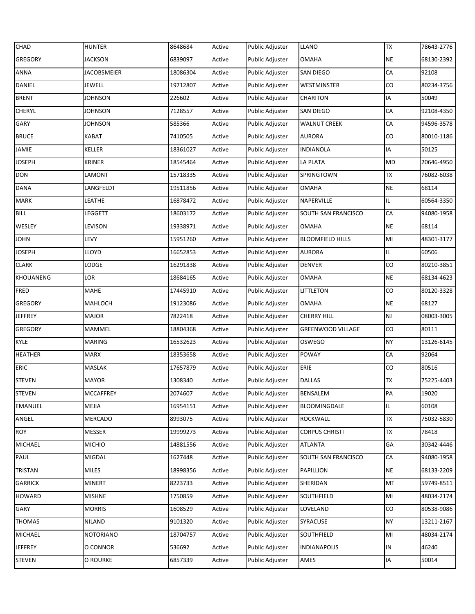| <b>CHAD</b>      | <b>HUNTER</b>      | 8648684  | Active | Public Adjuster        | <b>LLANO</b>             | TX                     | 78643-2776 |
|------------------|--------------------|----------|--------|------------------------|--------------------------|------------------------|------------|
| <b>GREGORY</b>   | <b>JACKSON</b>     | 6839097  | Active | Public Adjuster        | <b>OMAHA</b>             | <b>NE</b>              | 68130-2392 |
| ANNA             | <b>JACOBSMEIER</b> | 18086304 | Active | Public Adjuster        | <b>SAN DIEGO</b>         | ${\sf CA}$             | 92108      |
| <b>DANIEL</b>    | JEWELL             | 19712807 | Active | Public Adjuster        | WESTMINSTER              | ${\rm CO}$             | 80234-3756 |
| <b>BRENT</b>     | JOHNSON            | 226602   | Active | Public Adjuster        | <b>CHARITON</b>          | IA                     | 50049      |
| <b>CHERYL</b>    | JOHNSON            | 7128557  | Active | Public Adjuster        | SAN DIEGO                | CA                     | 92108-4350 |
| GARY             | JOHNSON            | 585366   | Active | <b>Public Adjuster</b> | <b>WALNUT CREEK</b>      | CA                     | 94596-3578 |
| <b>BRUCE</b>     | KABAT              | 7410505  | Active | Public Adjuster        | <b>AURORA</b>            | CO                     | 80010-1186 |
| JAMIE            | <b>KELLER</b>      | 18361027 | Active | Public Adjuster        | <b>INDIANOLA</b>         | IA                     | 50125      |
| <b>JOSEPH</b>    | KRINER             | 18545464 | Active | Public Adjuster        | LA PLATA                 | MD                     | 20646-4950 |
| <b>DON</b>       | LAMONT             | 15718335 | Active | Public Adjuster        | SPRINGTOWN               | TX                     | 76082-6038 |
| <b>DANA</b>      | LANGFELDT          | 19511856 | Active | Public Adjuster        | <b>OMAHA</b>             | <b>NE</b>              | 68114      |
| <b>MARK</b>      | LEATHE             | 16878472 | Active | Public Adjuster        | NAPERVILLE               | IL.                    | 60564-3350 |
| <b>BILL</b>      | LEGGETT            | 18603172 | Active | Public Adjuster        | SOUTH SAN FRANCISCO      | CA                     | 94080-1958 |
| <b>WESLEY</b>    | LEVISON            | 19338971 | Active | <b>Public Adjuster</b> | <b>OMAHA</b>             | <b>NE</b>              | 68114      |
| <b>JOHN</b>      | LEVY               | 15951260 | Active | <b>Public Adjuster</b> | <b>BLOOMFIELD HILLS</b>  | $\mathsf{M}\mathsf{I}$ | 48301-3177 |
| <b>JOSEPH</b>    | LLOYD              | 16652853 | Active | Public Adjuster        | <b>AURORA</b>            | IL.                    | 60506      |
| <b>CLARK</b>     | LODGE              | 16291838 | Active | Public Adjuster        | <b>DENVER</b>            | ${\rm CO}$             | 80210-3851 |
| <b>KHOUANENG</b> | LOR                | 18684165 | Active | Public Adjuster        | <b>OMAHA</b>             | <b>NE</b>              | 68134-4623 |
| FRED             | MAHE               | 17445910 | Active | Public Adjuster        | LITTLETON                | CO                     | 80120-3328 |
| GREGORY          | MAHLOCH            | 19123086 | Active | Public Adjuster        | <b>OMAHA</b>             | <b>NE</b>              | 68127      |
| <b>JEFFREY</b>   | MAJOR              | 7822418  | Active | Public Adjuster        | <b>CHERRY HILL</b>       | NJ                     | 08003-3005 |
| GREGORY          | MAMMEL             | 18804368 | Active | Public Adjuster        | <b>GREENWOOD VILLAGE</b> | ${\rm CO}$             | 80111      |
| <b>KYLE</b>      | <b>MARING</b>      | 16532623 | Active | Public Adjuster        | <b>OSWEGO</b>            | <b>NY</b>              | 13126-6145 |
| <b>HEATHER</b>   | <b>MARX</b>        | 18353658 | Active | Public Adjuster        | POWAY                    | CA                     | 92064      |
| <b>ERIC</b>      | MASLAK             | 17657879 | Active | Public Adjuster        | ERIE                     | CO                     | 80516      |
| <b>STEVEN</b>    | <b>MAYOR</b>       | 1308340  | Active | <b>Public Adjuster</b> | <b>DALLAS</b>            | TX                     | 75225-4403 |
| <b>STEVEN</b>    | <b>MCCAFFREY</b>   | 2074607  | Active | Public Adjuster        | <b>BENSALEM</b>          | PA                     | 19020      |
| <b>EMANUEL</b>   | MEJIA              | 16954151 | Active | Public Adjuster        | BLOOMINGDALE             | IL.                    | 60108      |
| ANGEL            | MERCADO            | 8993075  | Active | Public Adjuster        | <b>ROCKWALL</b>          | TX                     | 75032-5830 |
| <b>ROY</b>       | MESSER             | 19999273 | Active | Public Adjuster        | <b>CORPUS CHRISTI</b>    | TX                     | 78418      |
| <b>MICHAEL</b>   | <b>MICHIO</b>      | 14881556 | Active | Public Adjuster        | <b>ATLANTA</b>           | GA                     | 30342-4446 |
| PAUL             | MIGDAL             | 1627448  | Active | Public Adjuster        | SOUTH SAN FRANCISCO      | CA                     | 94080-1958 |
| <b>TRISTAN</b>   | MILES              | 18998356 | Active | Public Adjuster        | <b>PAPILLION</b>         | <b>NE</b>              | 68133-2209 |
| <b>GARRICK</b>   | MINERT             | 8223733  | Active | Public Adjuster        | SHERIDAN                 | MT                     | 59749-8511 |
| <b>HOWARD</b>    | <b>MISHNE</b>      | 1750859  | Active | Public Adjuster        | SOUTHFIELD               | MI                     | 48034-2174 |
| GARY             | <b>MORRIS</b>      | 1608529  | Active | Public Adjuster        | LOVELAND                 | CO                     | 80538-9086 |
| <b>THOMAS</b>    | <b>NILAND</b>      | 9101320  | Active | Public Adjuster        | SYRACUSE                 | <b>NY</b>              | 13211-2167 |
| <b>MICHAEL</b>   | NOTORIANO          | 18704757 | Active | Public Adjuster        | SOUTHFIELD               | MI                     | 48034-2174 |
| <b>JEFFREY</b>   | O CONNOR           | 536692   | Active | Public Adjuster        | <b>INDIANAPOLIS</b>      | IN                     | 46240      |
| <b>STEVEN</b>    | O ROURKE           | 6857339  | Active | Public Adjuster        | AMES                     | IA                     | 50014      |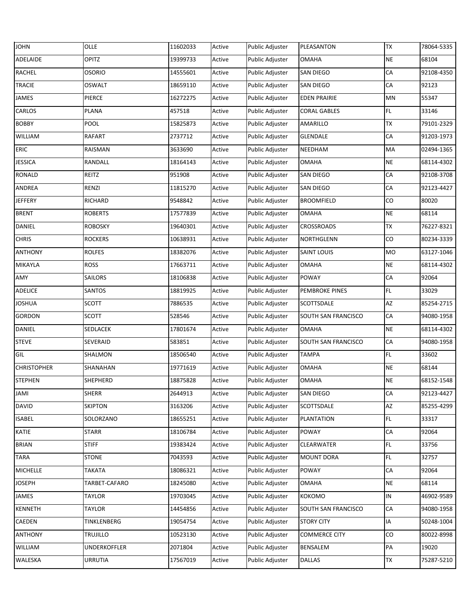| <b>JOHN</b>        | OLLE           | 11602033 | Active | Public Adjuster | PLEASANTON            | TX         | 78064-5335 |
|--------------------|----------------|----------|--------|-----------------|-----------------------|------------|------------|
| ADELAIDE           | OPITZ          | 19399733 | Active | Public Adjuster | <b>OMAHA</b>          | <b>NE</b>  | 68104      |
| <b>RACHEL</b>      | <b>OSORIO</b>  | 14555601 | Active | Public Adjuster | <b>SAN DIEGO</b>      | CA         | 92108-4350 |
| <b>TRACIE</b>      | <b>OSWALT</b>  | 18659110 | Active | Public Adjuster | <b>SAN DIEGO</b>      | CA         | 92123      |
| <b>JAMES</b>       | PIERCE         | 16272275 | Active | Public Adjuster | <b>EDEN PRAIRIE</b>   | MN         | 55347      |
| <b>CARLOS</b>      | <b>PLANA</b>   | 457518   | Active | Public Adjuster | <b>CORAL GABLES</b>   | FL         | 33146      |
| <b>BOBBY</b>       | <b>POOL</b>    | 15825873 | Active | Public Adjuster | AMARILLO              | <b>TX</b>  | 79101-2329 |
| WILLIAM            | <b>RAFART</b>  | 2737712  | Active | Public Adjuster | <b>GLENDALE</b>       | CA         | 91203-1973 |
| ERIC               | RAISMAN        | 3633690  | Active | Public Adjuster | NEEDHAM               | MA         | 02494-1365 |
| <b>JESSICA</b>     | RANDALL        | 18164143 | Active | Public Adjuster | <b>OMAHA</b>          | <b>NE</b>  | 68114-4302 |
| <b>RONALD</b>      | REITZ          | 951908   | Active | Public Adjuster | SAN DIEGO             | CA         | 92108-3708 |
| ANDREA             | RENZI          | 11815270 | Active | Public Adjuster | <b>SAN DIEGO</b>      | CA         | 92123-4427 |
| <b>JEFFERY</b>     | RICHARD        | 9548842  | Active | Public Adjuster | <b>BROOMFIELD</b>     | CO         | 80020      |
| <b>BRENT</b>       | <b>ROBERTS</b> | 17577839 | Active | Public Adjuster | <b>OMAHA</b>          | $\sf NE$   | 68114      |
| <b>DANIEL</b>      | <b>ROBOSKY</b> | 19640301 | Active | Public Adjuster | <b>CROSSROADS</b>     | <b>TX</b>  | 76227-8321 |
| <b>CHRIS</b>       | <b>ROCKERS</b> | 10638931 | Active | Public Adjuster | <b>NORTHGLENN</b>     | CO         | 80234-3339 |
| <b>ANTHONY</b>     | <b>ROLFES</b>  | 18382076 | Active | Public Adjuster | <b>SAINT LOUIS</b>    | MO         | 63127-1046 |
| MIKAYLA            | <b>ROSS</b>    | 17663711 | Active | Public Adjuster | OMAHA                 | $\sf NE$   | 68114-4302 |
| <b>AMY</b>         | SAILORS        | 18106838 | Active | Public Adjuster | <b>POWAY</b>          | CA         | 92064      |
| ADELICE            | SANTOS         | 18819925 | Active | Public Adjuster | <b>PEMBROKE PINES</b> | FL         | 33029      |
| <b>JOSHUA</b>      | SCOTT          | 7886535  | Active | Public Adjuster | SCOTTSDALE            | AZ         | 85254-2715 |
| <b>GORDON</b>      | SCOTT          | 528546   | Active | Public Adjuster | SOUTH SAN FRANCISCO   | CA         | 94080-1958 |
| <b>DANIEL</b>      | SEDLACEK       | 17801674 | Active | Public Adjuster | <b>OMAHA</b>          | <b>NE</b>  | 68114-4302 |
| <b>STEVE</b>       | SEVERAID       | 583851   | Active | Public Adjuster | SOUTH SAN FRANCISCO   | CA         | 94080-1958 |
| GIL                | SHALMON        | 18506540 | Active | Public Adjuster | <b>TAMPA</b>          | FL.        | 33602      |
| <b>CHRISTOPHER</b> | SHANAHAN       | 19771619 | Active | Public Adjuster | <b>OMAHA</b>          | $\sf NE$   | 68144      |
| <b>STEPHEN</b>     | SHEPHERD       | 18875828 | Active | Public Adjuster | <b>OMAHA</b>          | <b>NE</b>  | 68152-1548 |
| <b>JAMI</b>        | <b>SHERR</b>   | 2644913  | Active | Public Adjuster | <b>SAN DIEGO</b>      | ${\sf CA}$ | 92123-4427 |
| <b>DAVID</b>       | <b>SKIPTON</b> | 3163206  | Active | Public Adjuster | <b>SCOTTSDALE</b>     | AZ         | 85255-4299 |
| <b>ISABEL</b>      | SOLORZANO      | 18655251 | Active | Public Adjuster | <b>PLANTATION</b>     | FL.        | 33317      |
| KATIE              | STARR          | 18106784 | Active | Public Adjuster | <b>POWAY</b>          | ${\sf CA}$ | 92064      |
| <b>BRIAN</b>       | <b>STIFF</b>   | 19383424 | Active | Public Adjuster | <b>CLEARWATER</b>     | FL.        | 33756      |
| <b>TARA</b>        | <b>STONE</b>   | 7043593  | Active | Public Adjuster | <b>MOUNT DORA</b>     | FL.        | 32757      |
| <b>MICHELLE</b>    | TAKATA         | 18086321 | Active | Public Adjuster | <b>POWAY</b>          | CA         | 92064      |
| <b>JOSEPH</b>      | TARBET-CAFARO  | 18245080 | Active | Public Adjuster | OMAHA                 | <b>NE</b>  | 68114      |
| <b>JAMES</b>       | TAYLOR         | 19703045 | Active | Public Adjuster | <b>KOKOMO</b>         | IN         | 46902-9589 |
| <b>KENNETH</b>     | TAYLOR         | 14454856 | Active | Public Adjuster | SOUTH SAN FRANCISCO   | CA         | 94080-1958 |
| CAEDEN             | TINKLENBERG    | 19054754 | Active | Public Adjuster | <b>STORY CITY</b>     | IA         | 50248-1004 |
| <b>ANTHONY</b>     | TRUJILLO       | 10523130 | Active | Public Adjuster | <b>COMMERCE CITY</b>  | CO         | 80022-8998 |
| <b>WILLIAM</b>     | UNDERKOFFLER   | 2071804  | Active | Public Adjuster | BENSALEM              | PA         | 19020      |
| <b>WALESKA</b>     | URRUTIA        | 17567019 | Active | Public Adjuster | <b>DALLAS</b>         | TX         | 75287-5210 |